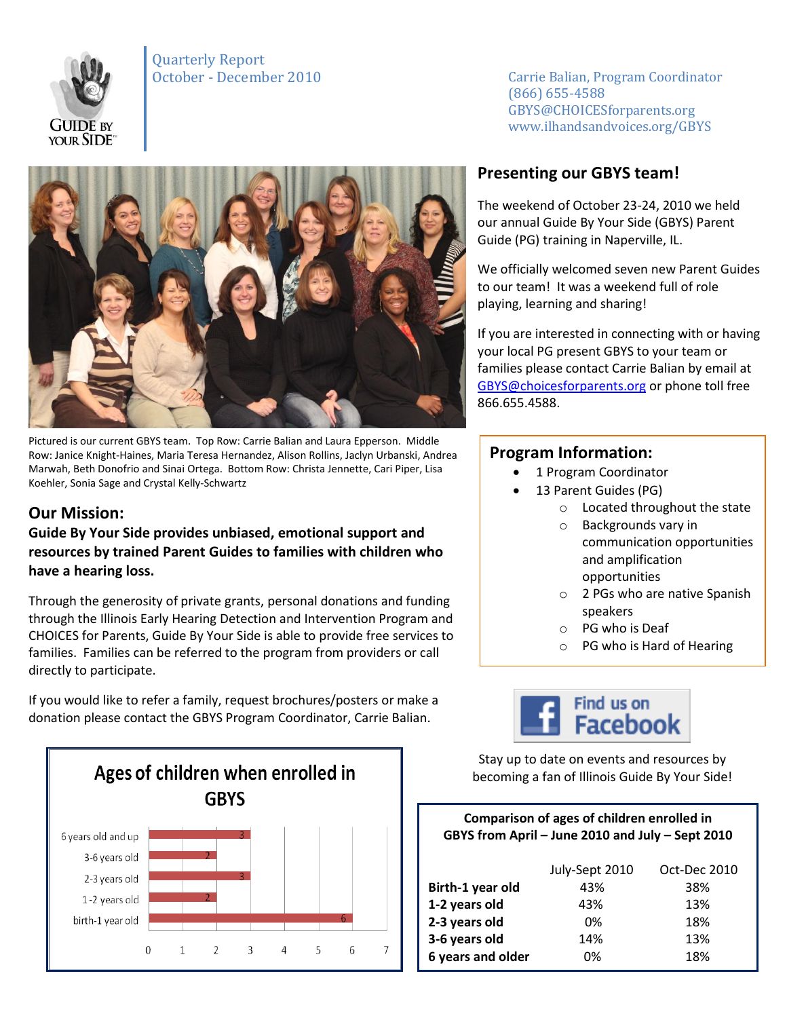

Quarterly Report



Pictured is our current GBYS team. Top Row: Carrie Balian and Laura Epperson. Middle Row: Janice Knight-Haines, Maria Teresa Hernandez, Alison Rollins, Jaclyn Urbanski, Andrea Marwah, Beth Donofrio and Sinai Ortega. Bottom Row: Christa Jennette, Cari Piper, Lisa Koehler, Sonia Sage and Crystal Kelly-Schwartz

# **Our Mission:**

**Guide By Your Side provides unbiased, emotional support and resources by trained Parent Guides to families with children who have a hearing loss.** 

Through the generosity of private grants, personal donations and funding through the Illinois Early Hearing Detection and Intervention Program and CHOICES for Parents, Guide By Your Side is able to provide free services to families. Families can be referred to the program from providers or call directly to participate.

If you would like to refer a family, request brochures/posters or make a donation please contact the GBYS Program Coordinator, Carrie Balian.



October - December 2010 Carrie Balian, Program Coordinator (866) 655-4588 GBYS@CHOICESforparents.org www.ilhandsandvoices.org/GBYS

# **Presenting our GBYS team!**

The weekend of October 23-24, 2010 we held our annual Guide By Your Side (GBYS) Parent Guide (PG) training in Naperville, IL.

We officially welcomed seven new Parent Guides to our team! It was a weekend full of role playing, learning and sharing!

If you are interested in connecting with or having your local PG present GBYS to your team or families please contact Carrie Balian by email at [GBYS@choicesforparents.org](mailto:GBYS@choicesforparents.org) or phone toll free 866.655.4588.

### **Program Information:**

- 1 Program Coordinator
- 13 Parent Guides (PG)
	- o Located throughout the state
	- o Backgrounds vary in communication opportunities and amplification opportunities
	- o 2 PGs who are native Spanish speakers
	- o PG who is Deaf
	- o PG who is Hard of Hearing



Stay up to date on events and resources by becoming a fan of Illinois Guide By Your Side!

#### **Comparison of ages of children enrolled in GBYS from April – June 2010 and July – Sept 2010**

|                   | July-Sept 2010 | Oct-Dec 2010 |
|-------------------|----------------|--------------|
| Birth-1 year old  | 43%            | 38%          |
| 1-2 years old     | 43%            | 13%          |
| 2-3 years old     | 0%             | 18%          |
| 3-6 years old     | 14%            | 13%          |
| 6 years and older | በ%             | 18%          |